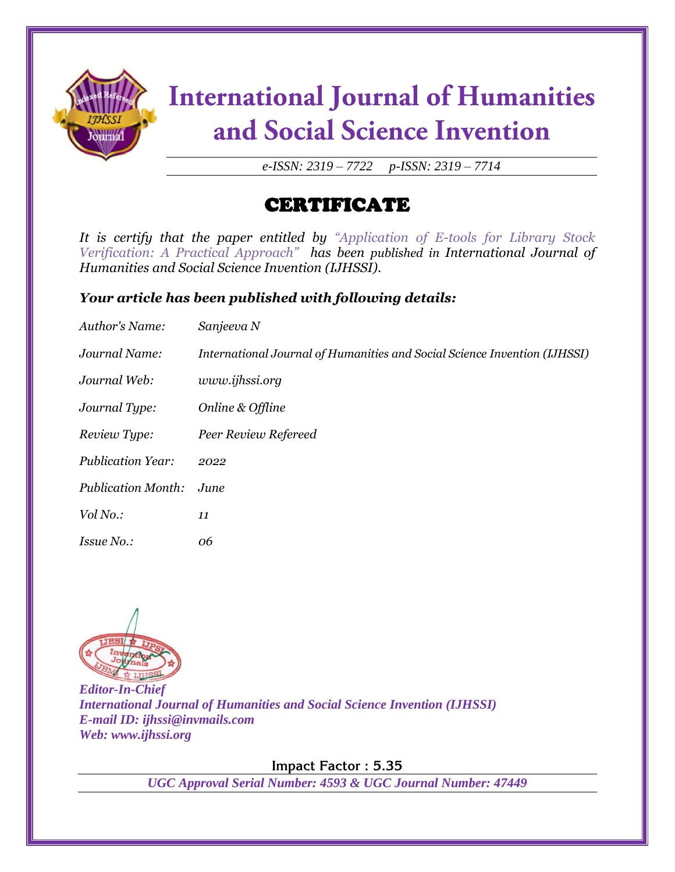

# **International Journal of Humanities** and Social Science Invention

*e-ISSN: 2319 – 7722 p-ISSN: 2319 – 7714*

### CERTIFICATE

*It is certify that the paper entitled by "Application of E-tools for Library Stock Verification: A Practical Approach" has been published in International Journal of Humanities and Social Science Invention (IJHSSI).*

#### *Your article has been published with following details:*

| Author's Name:            | Sanjeeva N                                                                |
|---------------------------|---------------------------------------------------------------------------|
| Journal Name:             | International Journal of Humanities and Social Science Invention (IJHSSI) |
| Journal Web:              | www.ijhssi.org                                                            |
| Journal Type:             | Online & Offline                                                          |
| Review Type:              | Peer Review Refereed                                                      |
| <b>Publication Year:</b>  | 2022                                                                      |
| <b>Publication Month:</b> | June                                                                      |
| Vol No.:                  | 11                                                                        |
| Issue No.:                | 06                                                                        |



*Editor-In-Chief International Journal of Humanities and Social Science Invention (IJHSSI) E-mail ID: ijhssi@invmails.com Web: www.ijhssi.org*

**Impact Factor : 5.35**

*UGC Approval Serial Number: 4593 & UGC Journal Number: 47449*